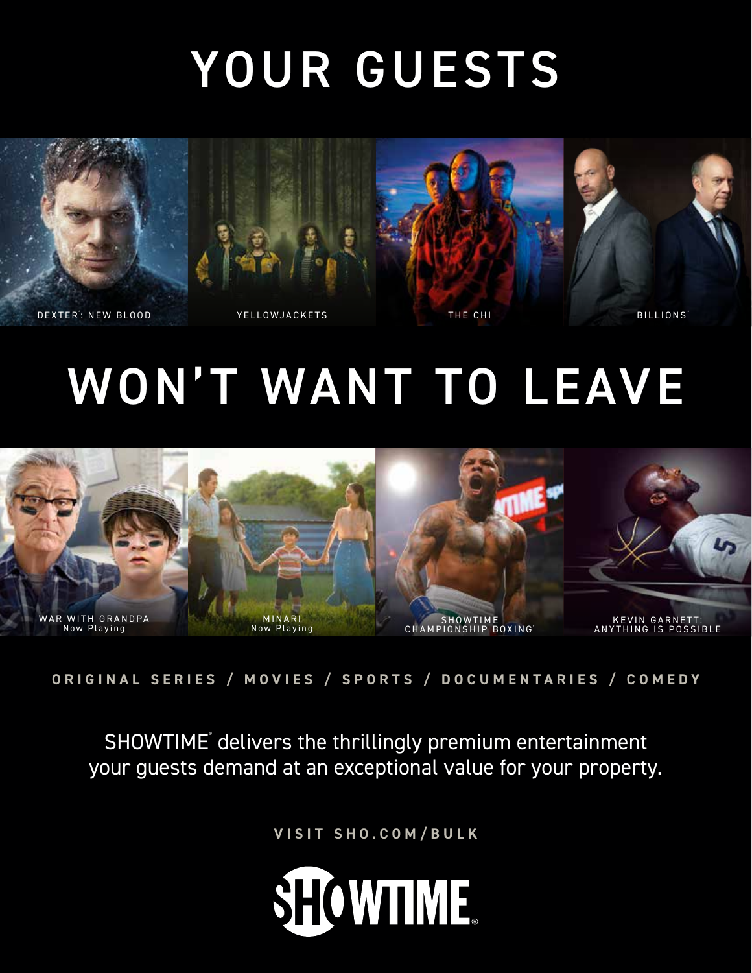## YOUR GUESTS

DEXTER YELLOWJACKETS THE CHI ® : NEW BLOOD

BILLIONS<sup>®</sup>

## WON'T WANT TO LEAVE



**ORIGINAL SERIES / MOVIES / SPORTS / DOCUMENTARIES / COMEDY**

SHOWTIME delivers the thrillingly premium entertainment your guests demand at an exceptional value for your property.

**VISIT SHO.COM/BULK**